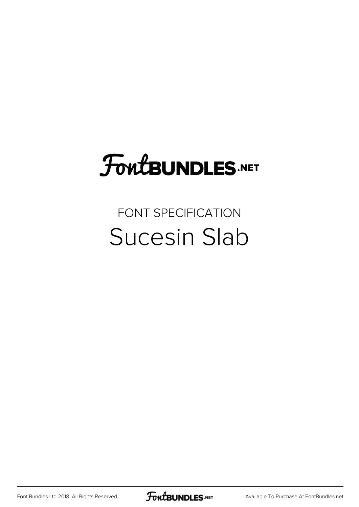# **FoutBUNDLES.NET**

#### FONT SPECIFICATION Sucesin Slab

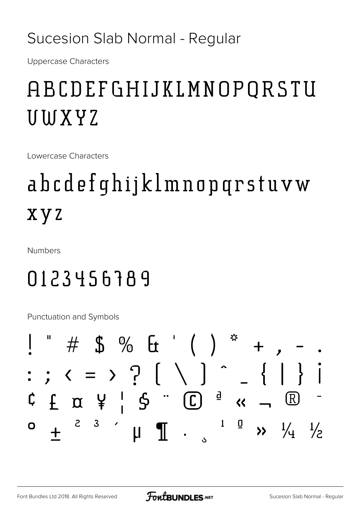#### Sucesion Slab Normal - Regular

**Uppercase Characters** 

## ABCDEFGHIJKLMNOPORSTU UWXYZ

Lowercase Characters

## abcdefqhijklmnopqrstuvw **xyz**

Numbers

### 0123456789

Punctuation and Symbols

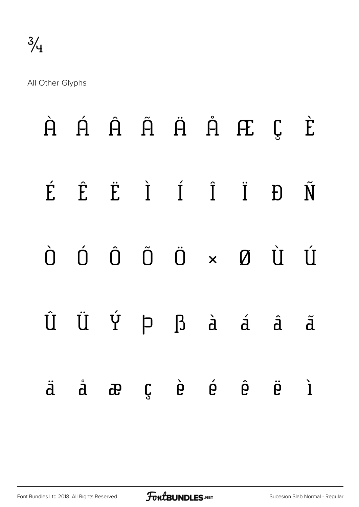All Other Glyphs

|  |  |  | $\dot{H}$ $\dot{H}$ $\dot{H}$ $\ddot{H}$ $\dot{H}$ $H$ $\ddot{L}$                                                                                                                                                                                                                                                                                                                                                                                                                                  |                   |             |
|--|--|--|----------------------------------------------------------------------------------------------------------------------------------------------------------------------------------------------------------------------------------------------------------------------------------------------------------------------------------------------------------------------------------------------------------------------------------------------------------------------------------------------------|-------------------|-------------|
|  |  |  | É Ê Ë Ì Í Ï Ë Ď Ñ                                                                                                                                                                                                                                                                                                                                                                                                                                                                                  |                   |             |
|  |  |  | $\begin{matrix} 0 & 0 & 0 & 0 \end{matrix} \quad \begin{matrix} 0 & 0 & 0 \end{matrix} \quad \begin{matrix} 0 & 0 & 0 \end{matrix} \quad \begin{matrix} 0 & 0 & 0 \end{matrix} \quad \begin{matrix} 0 & 0 & 0 \end{matrix} \quad \begin{matrix} 0 & 0 & 0 \end{matrix} \quad \begin{matrix} 0 & 0 & 0 \end{matrix} \quad \begin{matrix} 0 & 0 & 0 \end{matrix} \quad \begin{matrix} 0 & 0 & 0 \end{matrix} \quad \begin{matrix} 0 & 0 & 0 \end{matrix} \quad \begin{matrix} 0 & 0 & 0 \end{matrix$ |                   |             |
|  |  |  | $\hat{U} \quad \ddot{U} \quad \dot{Y} \quad \rho \quad \beta \quad \dot{a} \quad \dot{a} \quad \hat{a}$                                                                                                                                                                                                                                                                                                                                                                                            |                   | $\tilde{d}$ |
|  |  |  | äåæçèé ê                                                                                                                                                                                                                                                                                                                                                                                                                                                                                           | $\ddot{\theta}$ 1 |             |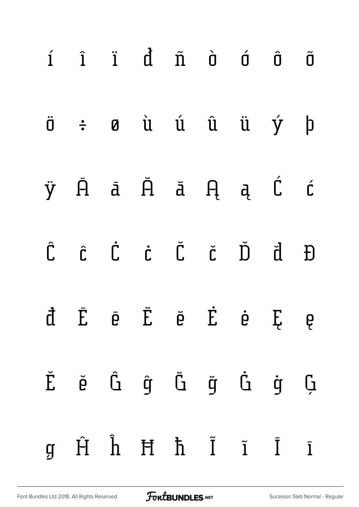| $i$ $i$ $i$ $d$ $\tilde{n}$ $\tilde{o}$ $\tilde{o}$ $\tilde{o}$                                                                     |  |  |  |              |
|-------------------------------------------------------------------------------------------------------------------------------------|--|--|--|--------------|
| $\ddot{\sigma}$ $\div$ $\sigma$ $\dot{u}$ $\dot{u}$ $\ddot{u}$ $\dot{u}$ $\dot{y}$                                                  |  |  |  | $\mathsf{b}$ |
| ÿĀā Ā ā ĄąĆ ć                                                                                                                       |  |  |  |              |
| $\hat{C} \quad \hat{C} \quad \dot{C} \quad \dot{C} \quad \check{C} \quad \check{C} \quad \check{D} \quad \check{d} \quad \check{D}$ |  |  |  |              |
| đĒē Ĕĕ Ė ė Ę ę                                                                                                                      |  |  |  |              |
| Ě ě Ĝ ĝ Ğ ğ Ġ ġ Ģ                                                                                                                   |  |  |  |              |
| $g$ $\hat{H}$ $\hat{h}$ $\hat{H}$ $\hat{h}$ $\hat{I}$ $\hat{I}$ $\hat{I}$ $\hat{I}$                                                 |  |  |  |              |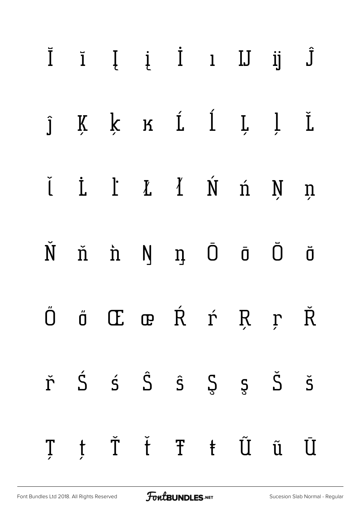|   |   | $\bar{I}$ $\bar{I}$ $\bar{I}$ $\bar{I}$ $\bar{I}$ $\bar{I}$ $\bar{J}$ $\bar{J}$ |                                 |           |                     |                      |
|---|---|---------------------------------------------------------------------------------|---------------------------------|-----------|---------------------|----------------------|
|   |   | j Ķ ķ ĸ í í ļ ļ Ľ                                                               |                                 |           |                     |                      |
|   |   | <i>i i I I I I i j n</i>                                                        |                                 |           |                     |                      |
|   |   | Ň ň 'n Ŋ n Ō Ō                                                                  |                                 |           |                     | $\bar{\mathbf{0}}$   |
|   |   | Ö Ö Œ œ Ŕ ŕ Ŗ ŗ Ř                                                               |                                 |           |                     |                      |
| ř | Ś | $\acute{\mathsf{s}}$ $\hat{\mathsf{S}}$                                         | $\hat{\mathsf{s}}$ $\mathsf{S}$ |           | $\zeta$ $\check{S}$ | $\check{\mathsf{S}}$ |
| Ţ | t |                                                                                 |                                 | Ť ť Ŧ ŧ Ũ | ũ Ū                 |                      |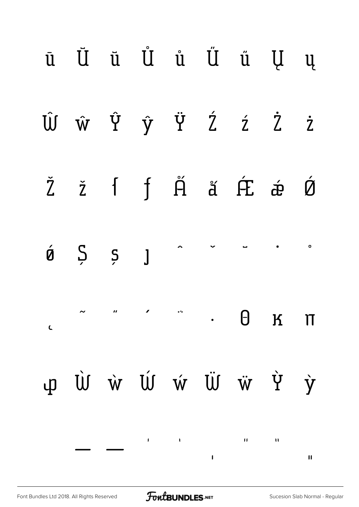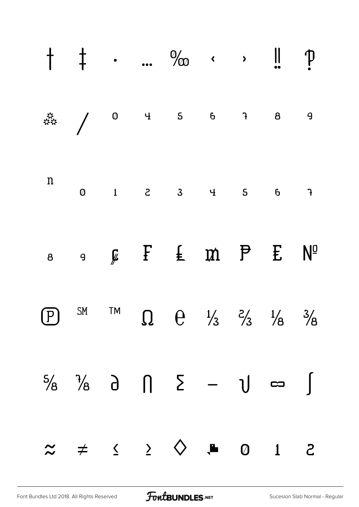|  |  | $\dagger$ $\dagger$ . $\%$ $\cdot$ $\cdot$ $\ $ $p$                                                                                                                                                                                                                                                                 |  |  |
|--|--|---------------------------------------------------------------------------------------------------------------------------------------------------------------------------------------------------------------------------------------------------------------------------------------------------------------------|--|--|
|  |  |                                                                                                                                                                                                                                                                                                                     |  |  |
|  |  |                                                                                                                                                                                                                                                                                                                     |  |  |
|  |  | 8 9 Ø F E M P E Nº                                                                                                                                                                                                                                                                                                  |  |  |
|  |  | $\begin{array}{ccccc}\n\text{P} & \text{SM} & \text{TM} & \text{\Omega} & \text{\Theta} & \frac{1}{3} & \frac{2}{3} & \frac{1}{8} & \frac{3}{8}\n\end{array}$                                                                                                                                                       |  |  |
|  |  | $\frac{5}{8}$ $\frac{1}{8}$ $\frac{1}{8}$ $\frac{1}{1}$ $\frac{5}{1}$ $\frac{5}{1}$ $\frac{5}{1}$ $\frac{1}{1}$ $\frac{5}{1}$ $\frac{1}{1}$ $\frac{1}{1}$ $\frac{1}{1}$ $\frac{1}{1}$ $\frac{1}{1}$ $\frac{1}{1}$ $\frac{1}{1}$ $\frac{1}{1}$ $\frac{1}{1}$ $\frac{1}{1}$ $\frac{1}{1}$ $\frac{1}{1}$ $\frac{1}{1}$ |  |  |
|  |  | $\approx$ $\neq$ $\leq$ $\geq$ $\diamond$ $\bullet$ 0 1 2                                                                                                                                                                                                                                                           |  |  |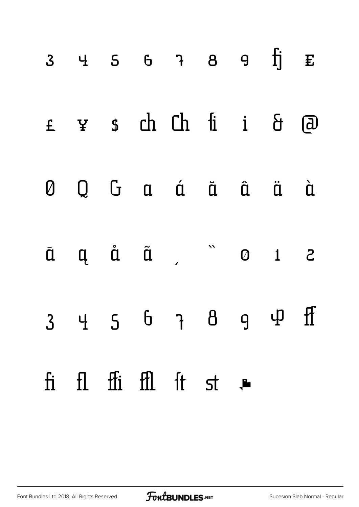|  |  | $3$ 4 5 6 7 8 9 $\overline{1}$ E                                            |  |  |
|--|--|-----------------------------------------------------------------------------|--|--|
|  |  | £ ¥ \$ ch Ch fi i & @                                                       |  |  |
|  |  | 0 Q G a á ā â ä à                                                           |  |  |
|  |  | $\bar{a}$ $\alpha$ $\tilde{a}$ $\alpha$ $\alpha$ $\alpha$ $\alpha$ $\alpha$ |  |  |
|  |  | $3$ 4 5 6 7 8 9 4 ff                                                        |  |  |
|  |  | fi fl ffi ffl ft st .                                                       |  |  |

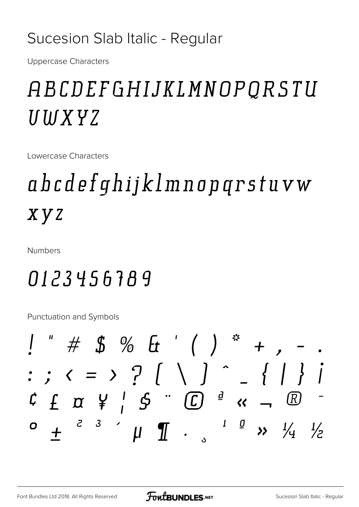#### Sucesion Slab Italic - Regular

**Uppercase Characters** 

## ABCDEFGHIJKLMNOPQRSTU UWXYZ

Lowercase Characters

## abcdefqhijklmnopqrstuvw x y z

**Numbers** 

### 0123456789

Punctuation and Symbols

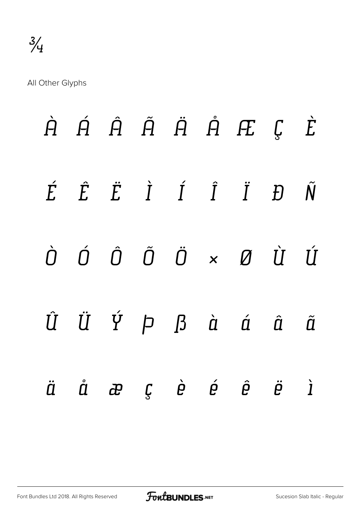All Other Glyphs

|  |  |  | $\dot{H}$ $\dot{H}$ $\dot{H}$ $\ddot{H}$ $\dot{H}$ $H$ $\ddot{E}$ $\dot{E}$                                                                                                                                                                         |  |
|--|--|--|-----------------------------------------------------------------------------------------------------------------------------------------------------------------------------------------------------------------------------------------------------|--|
|  |  |  | $\label{eq:2.1} \acute{E} \quad \  \  \, \acute{E} \quad \  \  \, \dot{E} \quad \  \  \, \grave{I} \quad \  \  \, \acute{I} \quad \  \  \, \acute{I} \quad \  \  \, \acute{I} \quad \  \  \, \acute{I} \quad \  \, \acute{D} \quad \  \, \acute{N}$ |  |
|  |  |  | $\begin{array}{ccccccccccccc} \dot O & \dot O & \dot O & \ddot O & \dot O & \times & \mathcal{Q} & \dot U & \dot U \end{array}$                                                                                                                     |  |
|  |  |  | $\hat{U} \quad \  \  \, \ddot{U} \quad \  \, \acute{Y} \quad \  \, \rho \quad \  \  \, \beta \quad \  \  \, \dot{a} \quad \  \  \, \acute{a} \quad \  \  \, \acute{a} \quad \  \, \acute{a}$                                                        |  |
|  |  |  | äåæçèéê ëi                                                                                                                                                                                                                                          |  |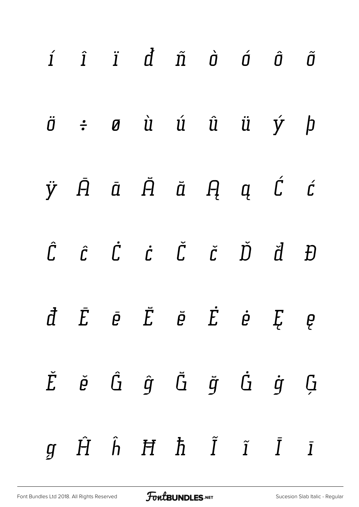| $i$ $i$ $i$ $d$ $\tilde{n}$ $\dot{o}$ $\tilde{o}$ $\tilde{o}$                                                                                                                                                                                       |  |  |  |  |
|-----------------------------------------------------------------------------------------------------------------------------------------------------------------------------------------------------------------------------------------------------|--|--|--|--|
| $\ddot{\sigma}$ $\div$ $\sigma$ $\dot{u}$ $\dot{u}$ $\ddot{u}$ $\dot{u}$ $\dot{y}$ $\dot{p}$                                                                                                                                                        |  |  |  |  |
| $\ddot{y}$ $\ddot{A}$ $\ddot{a}$ $\ddot{H}$ $\ddot{a}$ $\ddot{H}$ $\ddot{q}$ $\ddot{c}$                                                                                                                                                             |  |  |  |  |
| $\hat{\mathcal{L}}\qquad \hat{\mathcal{L}}\qquad \hat{\mathcal{L}}\qquad \hat{\mathcal{L}}\qquad \hat{\mathcal{L}}\qquad \check{\mathcal{L}}\qquad \check{\mathcal{L}}\qquad \check{\mathcal{D}}\qquad \check{\mathcal{d}}\qquad \hat{\mathcal{D}}$ |  |  |  |  |
| $\vec{d}$ $\vec{E}$ $\vec{e}$ $\vec{E}$ $\vec{e}$ $\vec{E}$ $\vec{e}$ $\vec{E}$ $e$                                                                                                                                                                 |  |  |  |  |
| $\check{E}$ $\check{\varrho}$ $\hat{G}$ $\check{g}$ $\check{G}$ $\check{g}$ $\check{G}$ $\check{g}$ $\check{G}$                                                                                                                                     |  |  |  |  |
| $g$ $\hat{H}$ $\hat{h}$ $\hat{H}$ $\hat{h}$ $\hat{I}$ $\hat{I}$ $\hat{I}$ $\hat{I}$                                                                                                                                                                 |  |  |  |  |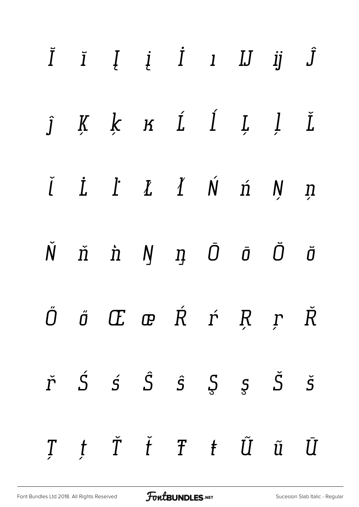|  | $\begin{array}{cccccccccccccc} \bar{I} & \bar{I} & I & I & I & I & I & J & I \end{array}$                                                                                                                                                                                                                                                                                                                                                    |  |  |  |
|--|----------------------------------------------------------------------------------------------------------------------------------------------------------------------------------------------------------------------------------------------------------------------------------------------------------------------------------------------------------------------------------------------------------------------------------------------|--|--|--|
|  | $j$ K K K Í Í L Í $\check{L}$                                                                                                                                                                                                                                                                                                                                                                                                                |  |  |  |
|  | $\check{I}$ $\dot{L}$ $\dot{L}$ $\dot{L}$ $\dot{L}$ $\dot{M}$ $\dot{M}$ $\dot{M}$ $\dot{M}$ $\dot{M}$                                                                                                                                                                                                                                                                                                                                        |  |  |  |
|  | $\check{N}$ $\check{n}$ $\hat{n}$ $\check{N}$ $\check{\eta}$ $\bar{0}$ $\bar{0}$ $\check{\sigma}$ $\check{\sigma}$                                                                                                                                                                                                                                                                                                                           |  |  |  |
|  | $\Huge \ddot{\textbf{0}}\hspace{1.9cm} \Huge \ddot{\textbf{0}}\hspace{1.9cm} \Huge \Huge \qquad \qquad \textbf{E}\hspace{1.9cm} \Huge \qquad \qquad \textbf{E}\hspace{1.9cm} \Huge \qquad \qquad \textbf{E}\hspace{1.9cm} \Huge \qquad \qquad \textbf{f}\hspace{1.9cm} \Huge \qquad \qquad \textbf{f}\hspace{1.9cm} \Huge \qquad \qquad \textbf{f}\hspace{1.9cm} \Huge \qquad \qquad \textbf{f}\hspace{1.9cm} \Huge \qquad \qquad \textbf{f$ |  |  |  |
|  | $\check{r}\quad \  \  \acute{S}\quad \  \  \acute{S}\quad \  \  \acute{S}\quad \  \  \, \acute{S}\quad \  \  \, \underline{S}\quad \  \  \, \underline{S}\quad \  \  \, \check{S}\quad \  \  \, \check{S}$                                                                                                                                                                                                                                   |  |  |  |
|  | $\begin{array}{cccccccccc} T & f & \check T & \check t & T & t & \tilde U & \tilde u & \bar U \end{array}$                                                                                                                                                                                                                                                                                                                                   |  |  |  |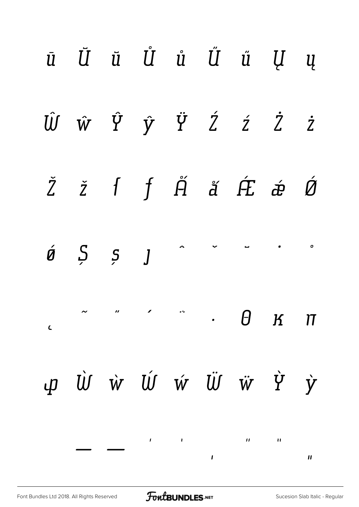|            |  |  | ū Ū ū Ů ů Ű ű Ų ų                                                                                                                                                                                                                                                                                                                                                                                                                                                    |  |
|------------|--|--|----------------------------------------------------------------------------------------------------------------------------------------------------------------------------------------------------------------------------------------------------------------------------------------------------------------------------------------------------------------------------------------------------------------------------------------------------------------------|--|
|            |  |  | $\hat{U} \quad \hat{w} \quad \hat{Y} \quad \hat{y} \quad \hat{Y} \quad \hat{Z} \quad \hat{z} \quad \hat{Z}$                                                                                                                                                                                                                                                                                                                                                          |  |
|            |  |  | Žží f j Ä á Ét á Ó                                                                                                                                                                                                                                                                                                                                                                                                                                                   |  |
|            |  |  | $\begin{array}{ccccccccccccccccc} \mathcal{A} & \mathcal{B} & \mathcal{B} & \mathcal{B} & \mathcal{A} & \mathcal{A} & \mathcal{A} & \mathcal{A} & \mathcal{A} & \mathcal{A} & \mathcal{A} & \mathcal{A} & \mathcal{A} & \mathcal{A} & \mathcal{A} & \mathcal{A} & \mathcal{A} & \mathcal{A} & \mathcal{A} & \mathcal{A} & \mathcal{A} & \mathcal{A} & \mathcal{A} & \mathcal{A} & \mathcal{A} & \mathcal{A} & \mathcal{A} & \mathcal{A} & \mathcal{A} & \mathcal{A}$ |  |
| $\epsilon$ |  |  | $\ldots$ . $\theta$ $\kappa$ $\pi$                                                                                                                                                                                                                                                                                                                                                                                                                                   |  |
|            |  |  | p Ù ẁ Ú ẃ Ü ẁ ỳ ỳ                                                                                                                                                                                                                                                                                                                                                                                                                                                    |  |
|            |  |  |                                                                                                                                                                                                                                                                                                                                                                                                                                                                      |  |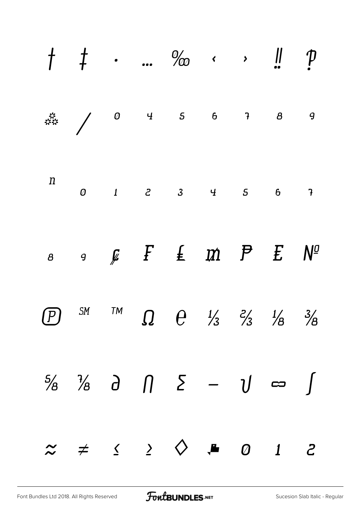